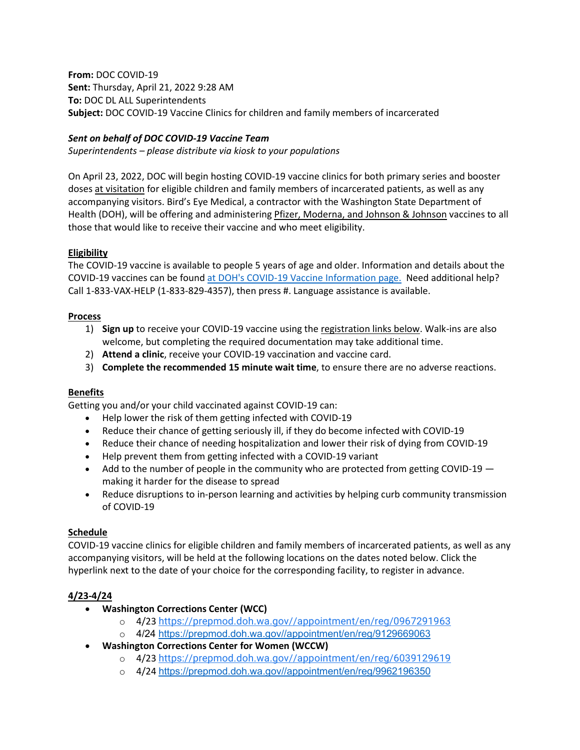**From:** DOC COVID-19 **Sent:** Thursday, April 21, 2022 9:28 AM **To:** DOC DL ALL Superintendents **Subject:** DOC COVID-19 Vaccine Clinics for children and family members of incarcerated

# *Sent on behalf of DOC COVID-19 Vaccine Team*

*Superintendents – please distribute via kiosk to your populations*

On April 23, 2022, DOC will begin hosting COVID-19 vaccine clinics for both primary series and booster doses at visitation for eligible children and family members of incarcerated patients, as well as any accompanying visitors. Bird's Eye Medical, a contractor with the Washington State Department of Health (DOH), will be offering and administering Pfizer, Moderna, and Johnson & Johnson vaccines to all those that would like to receive their vaccine and who meet eligibility.

### **Eligibility**

The COVID-19 vaccine is available to people 5 years of age and older. Information and details about the COVID-19 vaccines can be found [at DOH's COVID-19 Vaccine Information page.](https://gcc02.safelinks.protection.outlook.com/?url=https%3A%2F%2Fdoh.wa.gov%2Femergencies%2Fcovid-19%2Fvaccine-information&data=05%7C01%7Cdocwebmaster%40DOC1.WA.GOV%7Cbc164f0378824e46d13e08da23b3f38b%7C11d0e217264e400a8ba057dcc127d72d%7C0%7C0%7C637861553052056630%7CUnknown%7CTWFpbGZsb3d8eyJWIjoiMC4wLjAwMDAiLCJQIjoiV2luMzIiLCJBTiI6Ik1haWwiLCJXVCI6Mn0%3D%7C3000%7C%7C%7C&sdata=nn8gHPvNxgZWfVmqi%2Bm0CF%2Bo1gfFIOKDaRbchO7aRoM%3D&reserved=0) Need additional help? Call 1-833-VAX-HELP (1-833-829-4357), then press #. Language assistance is available.

#### **Process**

- 1) **Sign up** to receive your COVID-19 vaccine using the registration links below. Walk-ins are also welcome, but completing the required documentation may take additional time.
- 2) **Attend a clinic**, receive your COVID-19 vaccination and vaccine card.
- 3) **Complete the recommended 15 minute wait time**, to ensure there are no adverse reactions.

#### **Benefits**

Getting you and/or your child vaccinated against COVID-19 can:

- Help lower the risk of them getting infected with COVID-19
- Reduce their chance of getting seriously ill, if they do become infected with COVID-19
- Reduce their chance of needing hospitalization and lower their risk of dying from COVID-19
- Help prevent them from getting infected with a COVID-19 variant
- Add to the number of people in the community who are protected from getting COVID-19  $$ making it harder for the disease to spread
- Reduce disruptions to in-person learning and activities by helping curb community transmission of COVID-19

#### **Schedule**

COVID-19 vaccine clinics for eligible children and family members of incarcerated patients, as well as any accompanying visitors, will be held at the following locations on the dates noted below. Click the hyperlink next to the date of your choice for the corresponding facility, to register in advance.

# **4/23-4/24**

- **Washington Corrections Center (WCC)**
	- o 4/23 [https://prepmod.doh.wa.gov//appointment/en/reg/0967291963](https://gcc02.safelinks.protection.outlook.com/?url=https%3A%2F%2Fwww.google.com%2Furl%3Fq%3Dhttps%3A%2F%2Fprepmod.doh.wa.gov%2F%2Fappointment%2Fen%2Freg%2F0967291963%26sa%3DD%26source%3Dcalendar%26usd%3D2%26usg%3DAOvVaw3fErlBBEnKut0UcsLeFXXy&data=05%7C01%7Cdocwebmaster%40DOC1.WA.GOV%7Cbc164f0378824e46d13e08da23b3f38b%7C11d0e217264e400a8ba057dcc127d72d%7C0%7C0%7C637861553052056630%7CUnknown%7CTWFpbGZsb3d8eyJWIjoiMC4wLjAwMDAiLCJQIjoiV2luMzIiLCJBTiI6Ik1haWwiLCJXVCI6Mn0%3D%7C3000%7C%7C%7C&sdata=hnf9n18pvCwLa0enbD92tCTZxgB1MlKS7JcZGSp5R5o%3D&reserved=0)
	- o 4/24 [https://prepmod.doh.wa.gov//appointment/en/reg/9129669063](https://gcc02.safelinks.protection.outlook.com/?url=https%3A%2F%2Fprepmod.doh.wa.gov%2F%2Fappointment%2Fen%2Freg%2F9129669063&data=05%7C01%7Cdocwebmaster%40DOC1.WA.GOV%7Cbc164f0378824e46d13e08da23b3f38b%7C11d0e217264e400a8ba057dcc127d72d%7C0%7C0%7C637861553052056630%7CUnknown%7CTWFpbGZsb3d8eyJWIjoiMC4wLjAwMDAiLCJQIjoiV2luMzIiLCJBTiI6Ik1haWwiLCJXVCI6Mn0%3D%7C3000%7C%7C%7C&sdata=o23grXe43f25r1vJQDPPPdM024IxZ%2F%2B5EJjsn22KG54%3D&reserved=0)
- **Washington Corrections Center for Women (WCCW)**
	- o 4/23 [https://prepmod.doh.wa.gov//appointment/en/reg/6039129619](https://gcc02.safelinks.protection.outlook.com/?url=https%3A%2F%2Fwww.google.com%2Furl%3Fq%3Dhttps%3A%2F%2Fprepmod.doh.wa.gov%2F%2Fappointment%2Fen%2Freg%2F6039129619%26sa%3DD%26source%3Dcalendar%26usd%3D2%26usg%3DAOvVaw2RUDut2U_JMvmdOhcVilF5&data=05%7C01%7Cdocwebmaster%40DOC1.WA.GOV%7Cbc164f0378824e46d13e08da23b3f38b%7C11d0e217264e400a8ba057dcc127d72d%7C0%7C0%7C637861553052056630%7CUnknown%7CTWFpbGZsb3d8eyJWIjoiMC4wLjAwMDAiLCJQIjoiV2luMzIiLCJBTiI6Ik1haWwiLCJXVCI6Mn0%3D%7C3000%7C%7C%7C&sdata=91VXaia8oRDRXkKw1B%2BwwrOB0mQHdoNszM%2FEoXKhZPo%3D&reserved=0)
	- o 4/24 [https://prepmod.doh.wa.gov//appointment/en/reg/9962196350](https://gcc02.safelinks.protection.outlook.com/?url=https%3A%2F%2Fprepmod.doh.wa.gov%2F%2Fappointment%2Fen%2Freg%2F9962196350&data=05%7C01%7Cdocwebmaster%40DOC1.WA.GOV%7Cbc164f0378824e46d13e08da23b3f38b%7C11d0e217264e400a8ba057dcc127d72d%7C0%7C0%7C637861553052056630%7CUnknown%7CTWFpbGZsb3d8eyJWIjoiMC4wLjAwMDAiLCJQIjoiV2luMzIiLCJBTiI6Ik1haWwiLCJXVCI6Mn0%3D%7C3000%7C%7C%7C&sdata=%2FQk1Y37cJecKLu7Czpa1yQcB74PAkpuo1rVxFUjGNBU%3D&reserved=0)